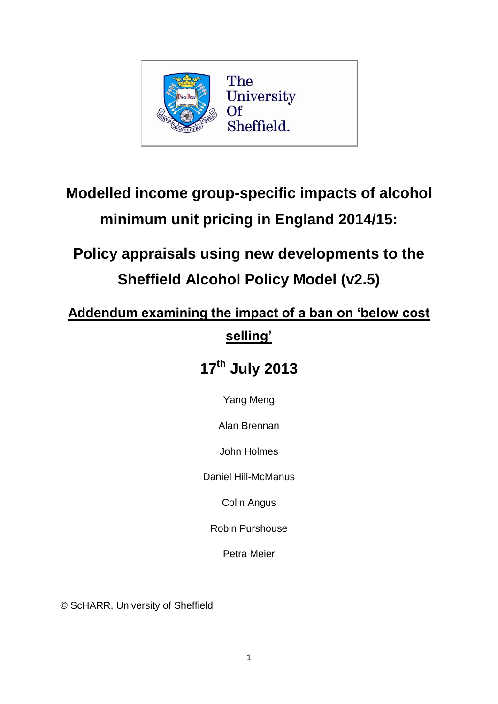

# **Modelled income group-specific impacts of alcohol minimum unit pricing in England 2014/15:**

# **Policy appraisals using new developments to the Sheffield Alcohol Policy Model (v2.5)**

## **Addendum examining the impact of a ban on 'below cost selling'**

## **17th July 2013**

Yang Meng

Alan Brennan

John Holmes

Daniel Hill-McManus

Colin Angus

Robin Purshouse

Petra Meier

© ScHARR, University of Sheffield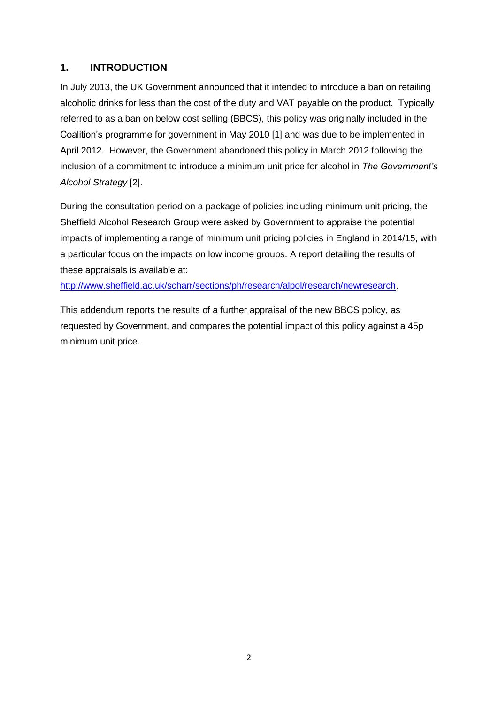### **1. INTRODUCTION**

In July 2013, the UK Government announced that it intended to introduce a ban on retailing alcoholic drinks for less than the cost of the duty and VAT payable on the product. Typically referred to as a ban on below cost selling (BBCS), this policy was originally included in the Coalition's programme for government in May 2010 [1] and was due to be implemented in April 2012. However, the Government abandoned this policy in March 2012 following the inclusion of a commitment to introduce a minimum unit price for alcohol in *The Government's Alcohol Strategy* [2].

During the consultation period on a package of policies including minimum unit pricing, the Sheffield Alcohol Research Group were asked by Government to appraise the potential impacts of implementing a range of minimum unit pricing policies in England in 2014/15, with a particular focus on the impacts on low income groups. A report detailing the results of these appraisals is available at:

[http://www.sheffield.ac.uk/scharr/sections/ph/research/alpol/research/newresearch.](http://www.sheffield.ac.uk/scharr/sections/ph/research/alpol/research/newresearch)

This addendum reports the results of a further appraisal of the new BBCS policy, as requested by Government, and compares the potential impact of this policy against a 45p minimum unit price.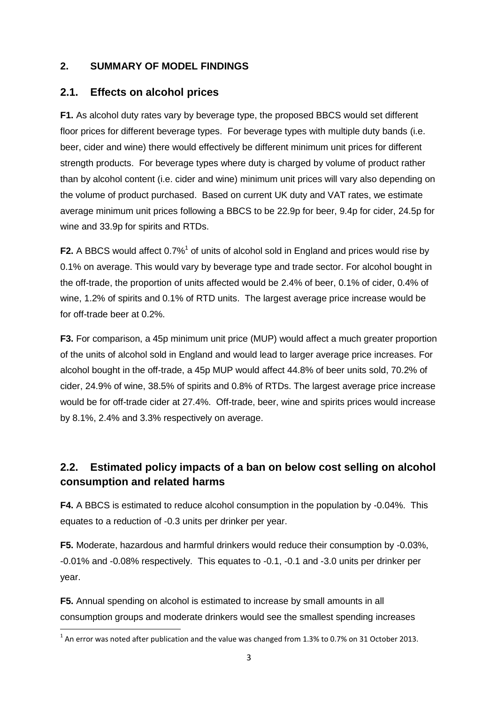## **2. SUMMARY OF MODEL FINDINGS**

## **2.1. Effects on alcohol prices**

**F1.** As alcohol duty rates vary by beverage type, the proposed BBCS would set different floor prices for different beverage types. For beverage types with multiple duty bands (i.e. beer, cider and wine) there would effectively be different minimum unit prices for different strength products. For beverage types where duty is charged by volume of product rather than by alcohol content (i.e. cider and wine) minimum unit prices will vary also depending on the volume of product purchased. Based on current UK duty and VAT rates, we estimate average minimum unit prices following a BBCS to be 22.9p for beer, 9.4p for cider, 24.5p for wine and 33.9p for spirits and RTDs.

F2. A BBCS would affect 0.7%<sup>1</sup> of units of alcohol sold in England and prices would rise by 0.1% on average. This would vary by beverage type and trade sector. For alcohol bought in the off-trade, the proportion of units affected would be 2.4% of beer, 0.1% of cider, 0.4% of wine, 1.2% of spirits and 0.1% of RTD units. The largest average price increase would be for off-trade beer at 0.2%.

**F3.** For comparison, a 45p minimum unit price (MUP) would affect a much greater proportion of the units of alcohol sold in England and would lead to larger average price increases. For alcohol bought in the off-trade, a 45p MUP would affect 44.8% of beer units sold, 70.2% of cider, 24.9% of wine, 38.5% of spirits and 0.8% of RTDs. The largest average price increase would be for off-trade cider at 27.4%. Off-trade, beer, wine and spirits prices would increase by 8.1%, 2.4% and 3.3% respectively on average.

## **2.2. Estimated policy impacts of a ban on below cost selling on alcohol consumption and related harms**

**F4.** A BBCS is estimated to reduce alcohol consumption in the population by -0.04%. This equates to a reduction of -0.3 units per drinker per year.

**F5.** Moderate, hazardous and harmful drinkers would reduce their consumption by -0.03%, -0.01% and -0.08% respectively. This equates to -0.1, -0.1 and -3.0 units per drinker per year.

**F5.** Annual spending on alcohol is estimated to increase by small amounts in all consumption groups and moderate drinkers would see the smallest spending increases

**.** 

 $^{1}$  An error was noted after publication and the value was changed from 1.3% to 0.7% on 31 October 2013.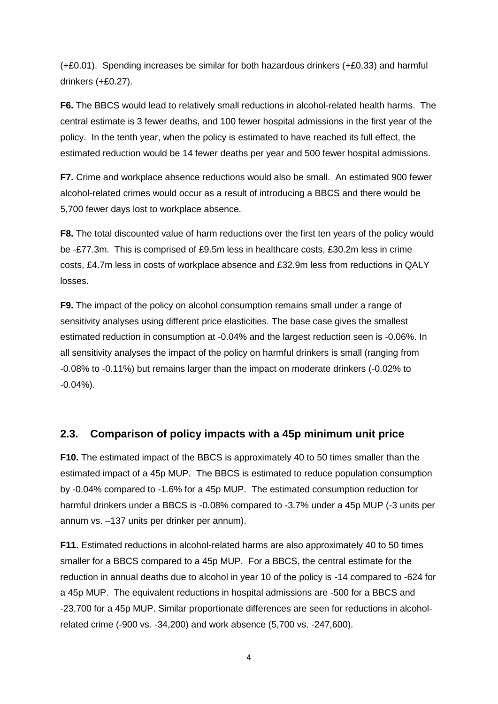(+£0.01). Spending increases be similar for both hazardous drinkers (+£0.33) and harmful drinkers (+£0.27).

**F6.** The BBCS would lead to relatively small reductions in alcohol-related health harms. The central estimate is 3 fewer deaths, and 100 fewer hospital admissions in the first year of the policy. In the tenth year, when the policy is estimated to have reached its full effect, the estimated reduction would be 14 fewer deaths per year and 500 fewer hospital admissions.

**F7.** Crime and workplace absence reductions would also be small. An estimated 900 fewer alcohol-related crimes would occur as a result of introducing a BBCS and there would be 5,700 fewer days lost to workplace absence.

**F8.** The total discounted value of harm reductions over the first ten years of the policy would be -£77.3m. This is comprised of £9.5m less in healthcare costs, £30.2m less in crime costs, £4.7m less in costs of workplace absence and £32.9m less from reductions in QALY losses.

**F9.** The impact of the policy on alcohol consumption remains small under a range of sensitivity analyses using different price elasticities. The base case gives the smallest estimated reduction in consumption at -0.04% and the largest reduction seen is -0.06%. In all sensitivity analyses the impact of the policy on harmful drinkers is small (ranging from -0.08% to -0.11%) but remains larger than the impact on moderate drinkers (-0.02% to -0.04%).

## **2.3. Comparison of policy impacts with a 45p minimum unit price**

**F10.** The estimated impact of the BBCS is approximately 40 to 50 times smaller than the estimated impact of a 45p MUP. The BBCS is estimated to reduce population consumption by -0.04% compared to -1.6% for a 45p MUP. The estimated consumption reduction for harmful drinkers under a BBCS is -0.08% compared to -3.7% under a 45p MUP (-3 units per annum vs. –137 units per drinker per annum).

**F11.** Estimated reductions in alcohol-related harms are also approximately 40 to 50 times smaller for a BBCS compared to a 45p MUP. For a BBCS, the central estimate for the reduction in annual deaths due to alcohol in year 10 of the policy is -14 compared to -624 for a 45p MUP. The equivalent reductions in hospital admissions are -500 for a BBCS and -23,700 for a 45p MUP. Similar proportionate differences are seen for reductions in alcoholrelated crime (-900 vs. -34,200) and work absence (5,700 vs. -247,600).

4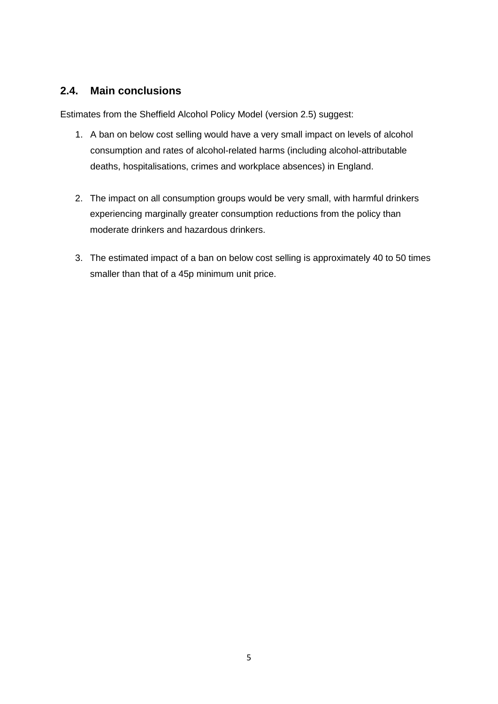## **2.4. Main conclusions**

Estimates from the Sheffield Alcohol Policy Model (version 2.5) suggest:

- 1. A ban on below cost selling would have a very small impact on levels of alcohol consumption and rates of alcohol-related harms (including alcohol-attributable deaths, hospitalisations, crimes and workplace absences) in England.
- 2. The impact on all consumption groups would be very small, with harmful drinkers experiencing marginally greater consumption reductions from the policy than moderate drinkers and hazardous drinkers.
- 3. The estimated impact of a ban on below cost selling is approximately 40 to 50 times smaller than that of a 45p minimum unit price.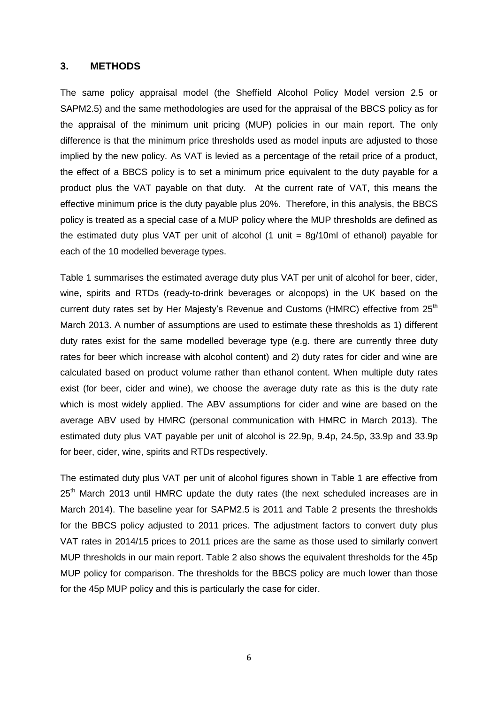#### **3. METHODS**

The same policy appraisal model (the Sheffield Alcohol Policy Model version 2.5 or SAPM2.5) and the same methodologies are used for the appraisal of the BBCS policy as for the appraisal of the minimum unit pricing (MUP) policies in our main report. The only difference is that the minimum price thresholds used as model inputs are adjusted to those implied by the new policy. As VAT is levied as a percentage of the retail price of a product, the effect of a BBCS policy is to set a minimum price equivalent to the duty payable for a product plus the VAT payable on that duty. At the current rate of VAT, this means the effective minimum price is the duty payable plus 20%. Therefore, in this analysis, the BBCS policy is treated as a special case of a MUP policy where the MUP thresholds are defined as the estimated duty plus VAT per unit of alcohol  $(1 \text{ unit} = 8q/10m)$  of ethanol) payable for each of the 10 modelled beverage types.

Table 1 summarises the estimated average duty plus VAT per unit of alcohol for beer, cider, wine, spirits and RTDs (ready-to-drink beverages or alcopops) in the UK based on the current duty rates set by Her Majesty's Revenue and Customs (HMRC) effective from  $25<sup>th</sup>$ March 2013. A number of assumptions are used to estimate these thresholds as 1) different duty rates exist for the same modelled beverage type (e.g. there are currently three duty rates for beer which increase with alcohol content) and 2) duty rates for cider and wine are calculated based on product volume rather than ethanol content. When multiple duty rates exist (for beer, cider and wine), we choose the average duty rate as this is the duty rate which is most widely applied. The ABV assumptions for cider and wine are based on the average ABV used by HMRC (personal communication with HMRC in March 2013). The estimated duty plus VAT payable per unit of alcohol is 22.9p, 9.4p, 24.5p, 33.9p and 33.9p for beer, cider, wine, spirits and RTDs respectively.

The estimated duty plus VAT per unit of alcohol figures shown in Table 1 are effective from 25<sup>th</sup> March 2013 until HMRC update the duty rates (the next scheduled increases are in March 2014). The baseline year for SAPM2.5 is 2011 and Table 2 presents the thresholds for the BBCS policy adjusted to 2011 prices. The adjustment factors to convert duty plus VAT rates in 2014/15 prices to 2011 prices are the same as those used to similarly convert MUP thresholds in our main report. Table 2 also shows the equivalent thresholds for the 45p MUP policy for comparison. The thresholds for the BBCS policy are much lower than those for the 45p MUP policy and this is particularly the case for cider.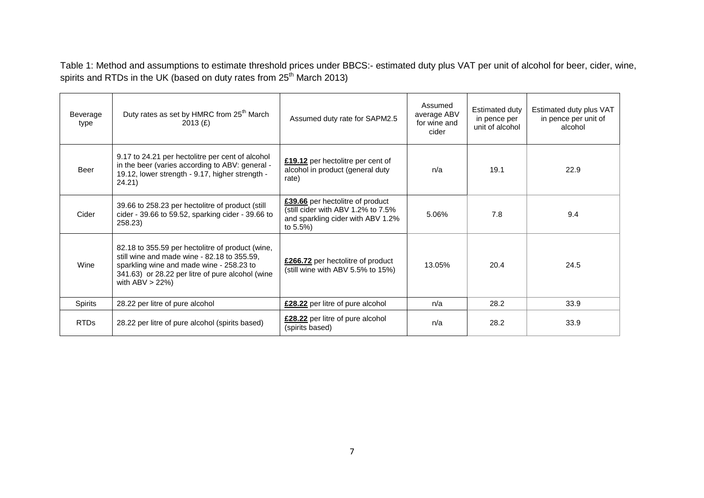Table 1: Method and assumptions to estimate threshold prices under BBCS:- estimated duty plus VAT per unit of alcohol for beer, cider, wine, spirits and RTDs in the UK (based on duty rates from 25<sup>th</sup> March 2013)

| Beverage<br>type | Duty rates as set by HMRC from 25 <sup>th</sup> March<br>2013 $(E)$                                                                                                                                                   | Assumed duty rate for SAPM2.5                                                                                             | Assumed<br>average ABV<br>for wine and<br>cider | Estimated duty<br>in pence per<br>unit of alcohol | Estimated duty plus VAT<br>in pence per unit of<br>alcohol |
|------------------|-----------------------------------------------------------------------------------------------------------------------------------------------------------------------------------------------------------------------|---------------------------------------------------------------------------------------------------------------------------|-------------------------------------------------|---------------------------------------------------|------------------------------------------------------------|
| Beer             | 9.17 to 24.21 per hectolitre per cent of alcohol<br>in the beer (varies according to ABV: general -<br>19.12, lower strength - 9.17, higher strength -<br>24.21)                                                      | £19.12 per hectolitre per cent of<br>alcohol in product (general duty<br>rate)                                            | n/a                                             | 19.1                                              | 22.9                                                       |
| Cider            | 39.66 to 258.23 per hectolitre of product (still<br>cider - 39.66 to 59.52, sparking cider - 39.66 to<br>258.23)                                                                                                      | £39.66 per hectolitre of product<br>(still cider with ABV 1.2% to 7.5%)<br>and sparkling cider with ABV 1.2%<br>to $5.5%$ | 5.06%                                           | 7.8                                               | 9.4                                                        |
| Wine             | 82.18 to 355.59 per hectolitre of product (wine,<br>still wine and made wine - 82.18 to 355.59,<br>sparkling wine and made wine - 258.23 to<br>341.63) or 28.22 per litre of pure alcohol (wine<br>with $ABV > 22\%)$ | £266.72 per hectolitre of product<br>(still wine with ABV 5.5% to 15%)                                                    | 13.05%                                          | 20.4                                              | 24.5                                                       |
| Spirits          | 28.22 per litre of pure alcohol                                                                                                                                                                                       | £28.22 per litre of pure alcohol                                                                                          | n/a                                             | 28.2                                              | 33.9                                                       |
| <b>RTDs</b>      | 28.22 per litre of pure alcohol (spirits based)                                                                                                                                                                       | £28.22 per litre of pure alcohol<br>(spirits based)                                                                       | n/a                                             | 28.2                                              | 33.9                                                       |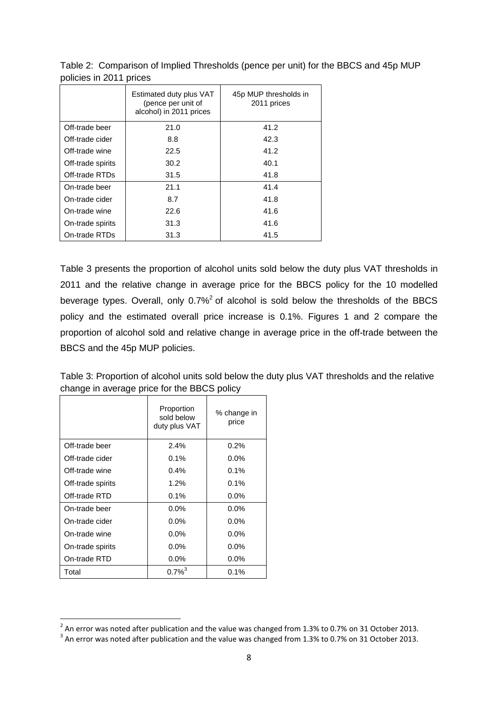|                   | Estimated duty plus VAT<br>(pence per unit of<br>alcohol) in 2011 prices | 45p MUP thresholds in<br>2011 prices |
|-------------------|--------------------------------------------------------------------------|--------------------------------------|
| Off-trade beer    | 21.0                                                                     | 41.2                                 |
| Off-trade cider   | 8.8                                                                      | 42.3                                 |
| Off-trade wine    | 22.5                                                                     | 41.2                                 |
| Off-trade spirits | 30.2                                                                     | 40.1                                 |
| Off-trade RTDs    | 31.5                                                                     | 41.8                                 |
| On-trade beer     | 21.1                                                                     | 41.4                                 |
| On-trade cider    | 8.7                                                                      | 41.8                                 |
| On-trade wine     | 22.6                                                                     | 41.6                                 |
| On-trade spirits  | 31.3                                                                     | 41.6                                 |
| On-trade RTDs     | 31.3                                                                     | 41.5                                 |

Table 2: Comparison of Implied Thresholds (pence per unit) for the BBCS and 45p MUP policies in 2011 prices

Table 3 presents the proportion of alcohol units sold below the duty plus VAT thresholds in 2011 and the relative change in average price for the BBCS policy for the 10 modelled beverage types. Overall, only  $0.7\%$ <sup>2</sup> of alcohol is sold below the thresholds of the BBCS policy and the estimated overall price increase is 0.1%. Figures 1 and 2 compare the proportion of alcohol sold and relative change in average price in the off-trade between the BBCS and the 45p MUP policies.

|                   | Proportion<br>sold below<br>duty plus VAT | % change in<br>price |
|-------------------|-------------------------------------------|----------------------|
| Off-trade beer    | 2.4%                                      | $0.2\%$              |
| Off-trade cider   | 0.1%                                      | $0.0\%$              |
| Off-trade wine    | $0.4\%$                                   | $0.1\%$              |
| Off-trade spirits | 1.2%                                      | $0.1\%$              |
| Off-trade RTD     | 0.1%                                      | $0.0\%$              |
| On-trade beer     | $0.0\%$                                   | $0.0\%$              |
| On-trade cider    | $0.0\%$                                   | $0.0\%$              |
| On-trade wine     | $0.0\%$                                   | $0.0\%$              |
| On-trade spirits  | $0.0\%$                                   | $0.0\%$              |
| On-trade RTD      | $0.0\%$                                   | $0.0\%$              |
| Total             | $0.7\%^{3}$                               | $0.1\%$              |

1

Table 3: Proportion of alcohol units sold below the duty plus VAT thresholds and the relative change in average price for the BBCS policy

 $^2$  An error was noted after publication and the value was changed from 1.3% to 0.7% on 31 October 2013.

 $^3$  An error was noted after publication and the value was changed from 1.3% to 0.7% on 31 October 2013.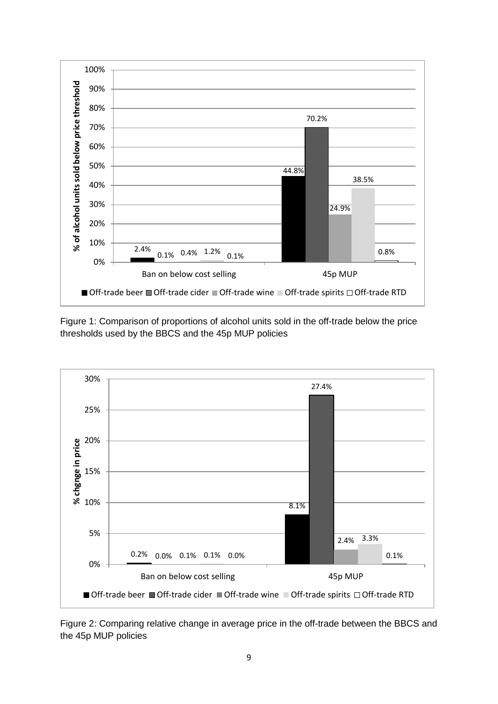

Figure 1: Comparison of proportions of alcohol units sold in the off-trade below the price thresholds used by the BBCS and the 45p MUP policies



Figure 2: Comparing relative change in average price in the off-trade between the BBCS and the 45p MUP policies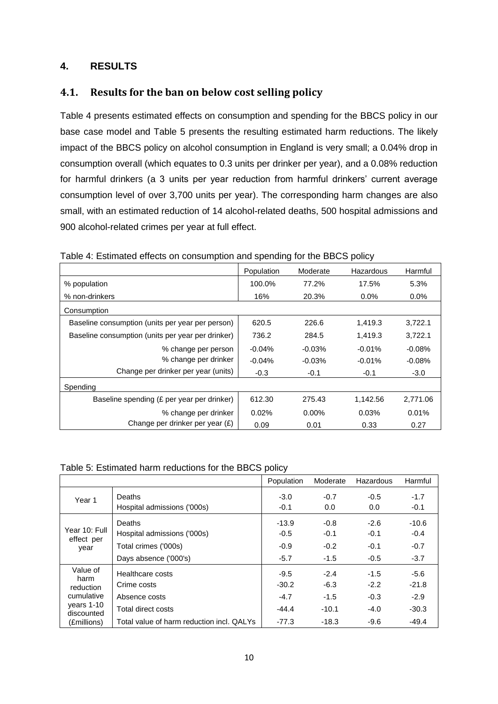### **4. RESULTS**

## **4.1. Results for the ban on below cost selling policy**

Table 4 presents estimated effects on consumption and spending for the BBCS policy in our base case model and Table 5 presents the resulting estimated harm reductions. The likely impact of the BBCS policy on alcohol consumption in England is very small; a 0.04% drop in consumption overall (which equates to 0.3 units per drinker per year), and a 0.08% reduction for harmful drinkers (a 3 units per year reduction from harmful drinkers' current average consumption level of over 3,700 units per year). The corresponding harm changes are also small, with an estimated reduction of 14 alcohol-related deaths, 500 hospital admissions and 900 alcohol-related crimes per year at full effect.

|                                                   | Population | Moderate | Hazardous | Harmful  |
|---------------------------------------------------|------------|----------|-----------|----------|
| % population                                      | 100.0%     | 77.2%    | 17.5%     | 5.3%     |
| % non-drinkers                                    | 16%        | 20.3%    | $0.0\%$   | $0.0\%$  |
| Consumption                                       |            |          |           |          |
| Baseline consumption (units per year per person)  | 620.5      | 226.6    | 1,419.3   | 3,722.1  |
| Baseline consumption (units per year per drinker) | 736.2      | 284.5    | 1.419.3   | 3,722.1  |
| % change per person                               | $-0.04%$   | $-0.03%$ | $-0.01%$  | $-0.08%$ |
| % change per drinker                              | $-0.04%$   | $-0.03%$ | $-0.01%$  | $-0.08%$ |
| Change per drinker per year (units)               | $-0.3$     | $-0.1$   | $-0.1$    | -3.0     |
| Spending                                          |            |          |           |          |
| Baseline spending (£ per year per drinker)        | 612.30     | 275.43   | 1,142.56  | 2,771.06 |
| % change per drinker                              | 0.02%      | $0.00\%$ | 0.03%     | 0.01%    |
| Change per drinker per year (£)                   | 0.09       | 0.01     | 0.33      | 0.27     |

Table 4: Estimated effects on consumption and spending for the BBCS policy

#### Table 5: Estimated harm reductions for the BBCS policy

|                             |                                           | Population | Moderate | Hazardous | Harmful |
|-----------------------------|-------------------------------------------|------------|----------|-----------|---------|
| Year 1                      | Deaths                                    | $-3.0$     | $-0.7$   | $-0.5$    | $-1.7$  |
|                             | Hospital admissions ('000s)               | $-0.1$     | 0.0      | 0.0       | $-0.1$  |
|                             | Deaths                                    | $-13.9$    | $-0.8$   | $-2.6$    | $-10.6$ |
| Year 10: Full<br>effect per | Hospital admissions ('000s)               | $-0.5$     | $-0.1$   | $-0.1$    | $-0.4$  |
| year                        | Total crimes ('000s)                      | $-0.9$     | $-0.2$   | $-0.1$    | $-0.7$  |
|                             | Days absence ('000's)                     | $-5.7$     | $-1.5$   | $-0.5$    | $-3.7$  |
| Value of<br>harm            | Healthcare costs                          | $-9.5$     | $-2.4$   | $-1.5$    | $-5.6$  |
| reduction                   | Crime costs                               | $-30.2$    | $-6.3$   | $-2.2$    | $-21.8$ |
| cumulative                  | Absence costs                             | $-4.7$     | $-1.5$   | $-0.3$    | $-2.9$  |
| years 1-10<br>discounted    | Total direct costs                        | $-44.4$    | $-10.1$  | $-4.0$    | $-30.3$ |
| (£millions)                 | Total value of harm reduction incl. QALYs | $-77.3$    | $-18.3$  | $-9.6$    | $-49.4$ |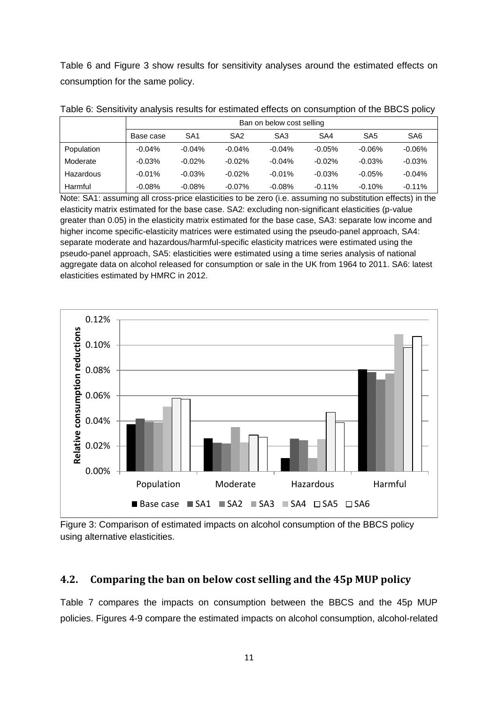Table 6 and Figure 3 show results for sensitivity analyses around the estimated effects on consumption for the same policy.

|            | Ban on below cost selling |                 |                 |                 |          |                 |                 |  |  |  |
|------------|---------------------------|-----------------|-----------------|-----------------|----------|-----------------|-----------------|--|--|--|
|            | Base case                 | SA <sub>1</sub> | SA <sub>2</sub> | SA <sub>3</sub> | SA4      | SA <sub>5</sub> | SA <sub>6</sub> |  |  |  |
| Population | $-0.04%$                  | $-0.04%$        | $-0.04%$        | $-0.04%$        | $-0.05%$ | $-0.06%$        | $-0.06\%$       |  |  |  |
| Moderate   | $-0.03%$                  | $-0.02%$        | $-0.02\%$       | $-0.04%$        | $-0.02%$ | $-0.03%$        | $-0.03%$        |  |  |  |
| Hazardous  | $-0.01%$                  | $-0.03%$        | $-0.02\%$       | $-0.01%$        | $-0.03%$ | $-0.05%$        | $-0.04%$        |  |  |  |
| Harmful    | $-0.08%$                  | $-0.08%$        | $-0.07\%$       | $-0.08%$        | $-0.11%$ | $-0.10%$        | $-0.11%$        |  |  |  |

Table 6: Sensitivity analysis results for estimated effects on consumption of the BBCS policy

Note: SA1: assuming all cross-price elasticities to be zero (i.e. assuming no substitution effects) in the elasticity matrix estimated for the base case. SA2: excluding non-significant elasticities (p-value greater than 0.05) in the elasticity matrix estimated for the base case, SA3: separate low income and higher income specific-elasticity matrices were estimated using the pseudo-panel approach, SA4: separate moderate and hazardous/harmful-specific elasticity matrices were estimated using the pseudo-panel approach, SA5: elasticities were estimated using a time series analysis of national aggregate data on alcohol released for consumption or sale in the UK from 1964 to 2011. SA6: latest elasticities estimated by HMRC in 2012.



Figure 3: Comparison of estimated impacts on alcohol consumption of the BBCS policy using alternative elasticities.

## **4.2. Comparing the ban on below cost selling and the 45p MUP policy**

Table 7 compares the impacts on consumption between the BBCS and the 45p MUP policies. Figures 4-9 compare the estimated impacts on alcohol consumption, alcohol-related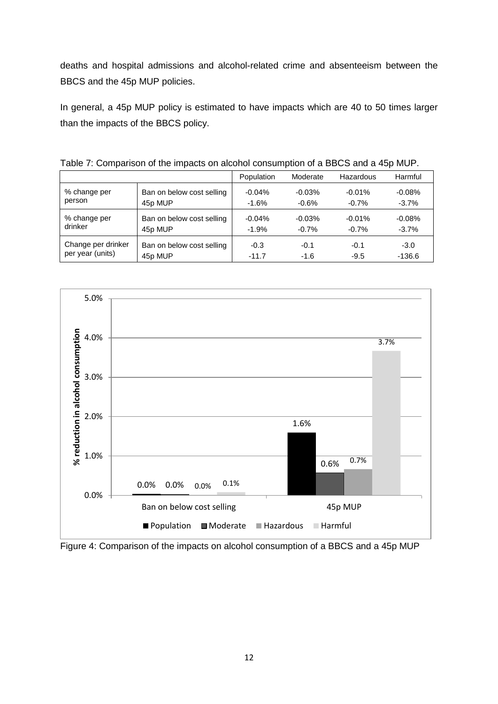deaths and hospital admissions and alcohol-related crime and absenteeism between the BBCS and the 45p MUP policies.

In general, a 45p MUP policy is estimated to have impacts which are 40 to 50 times larger than the impacts of the BBCS policy.

|                    | Table T. Companion of the impacto on alcohol concamption of a BBCC and a Top MOT . |            |          |           |          |
|--------------------|------------------------------------------------------------------------------------|------------|----------|-----------|----------|
|                    |                                                                                    | Population | Moderate | Hazardous | Harmful  |
| % change per       | Ban on below cost selling                                                          | $-0.04%$   | $-0.03%$ | $-0.01%$  | $-0.08%$ |
| person             | 45p MUP                                                                            | $-1.6%$    | $-0.6%$  | $-0.7%$   | $-3.7%$  |
| % change per       | Ban on below cost selling                                                          | $-0.04%$   | $-0.03%$ | $-0.01%$  | $-0.08%$ |
| drinker            | 45p MUP                                                                            | $-1.9%$    | $-0.7%$  | $-0.7%$   | $-3.7\%$ |
| Change per drinker | Ban on below cost selling                                                          | $-0.3$     | $-0.1$   | $-0.1$    | $-3.0$   |
| per year (units)   | 45p MUP                                                                            | $-11.7$    | $-1.6$   | $-9.5$    | $-136.6$ |

Table 7: Comparison of the impacts on alcohol consumption of a BBCS and a 45p MUP.



Figure 4: Comparison of the impacts on alcohol consumption of a BBCS and a 45p MUP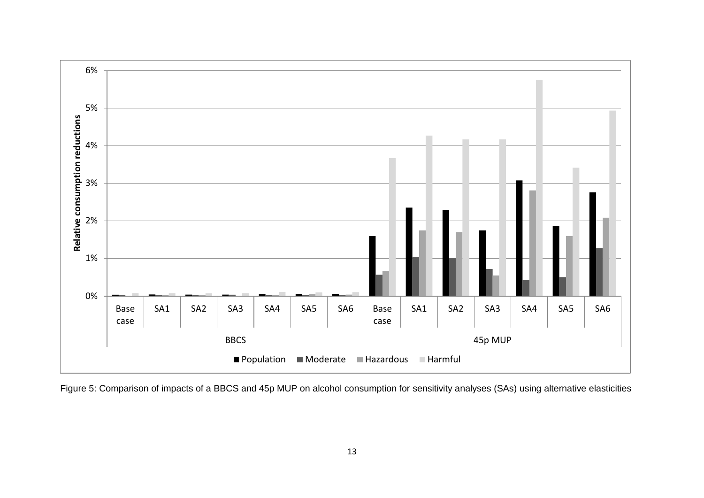

Figure 5: Comparison of impacts of a BBCS and 45p MUP on alcohol consumption for sensitivity analyses (SAs) using alternative elasticities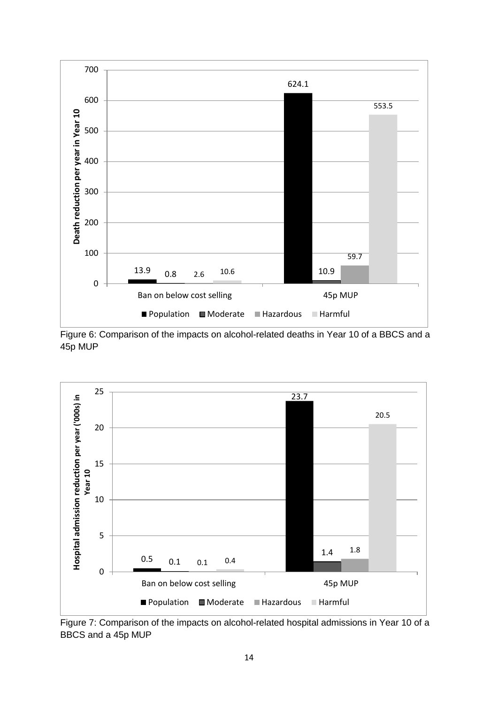





Figure 7: Comparison of the impacts on alcohol-related hospital admissions in Year 10 of a BBCS and a 45p MUP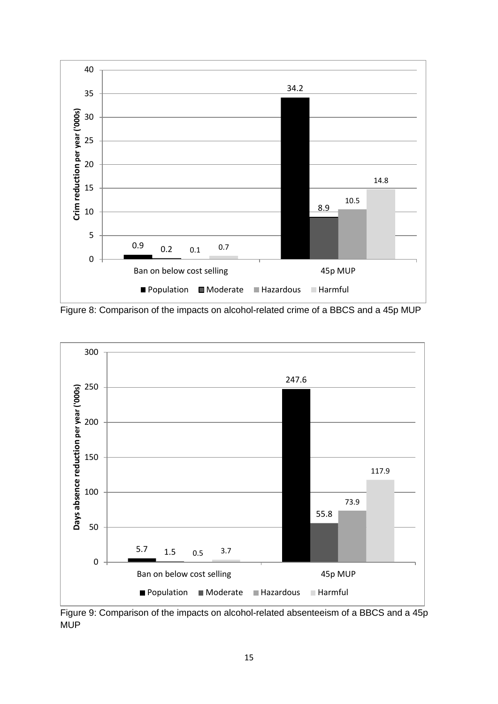

Figure 8: Comparison of the impacts on alcohol-related crime of a BBCS and a 45p MUP



Figure 9: Comparison of the impacts on alcohol-related absenteeism of a BBCS and a 45p **MUP**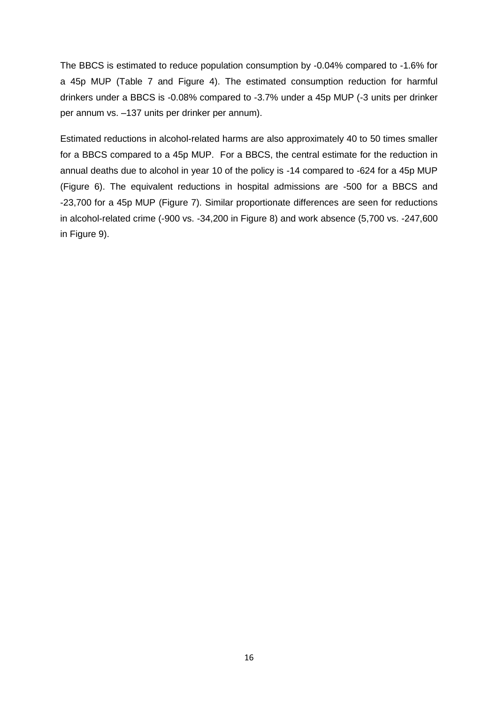The BBCS is estimated to reduce population consumption by -0.04% compared to -1.6% for a 45p MUP (Table 7 and Figure 4). The estimated consumption reduction for harmful drinkers under a BBCS is -0.08% compared to -3.7% under a 45p MUP (-3 units per drinker per annum vs. –137 units per drinker per annum).

Estimated reductions in alcohol-related harms are also approximately 40 to 50 times smaller for a BBCS compared to a 45p MUP. For a BBCS, the central estimate for the reduction in annual deaths due to alcohol in year 10 of the policy is -14 compared to -624 for a 45p MUP (Figure 6). The equivalent reductions in hospital admissions are -500 for a BBCS and -23,700 for a 45p MUP (Figure 7). Similar proportionate differences are seen for reductions in alcohol-related crime (-900 vs. -34,200 in Figure 8) and work absence (5,700 vs. -247,600 in Figure 9).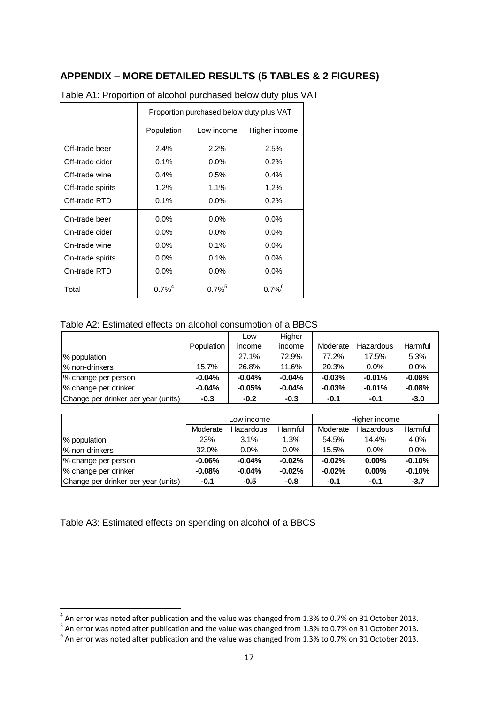## **APPENDIX – MORE DETAILED RESULTS (5 TABLES & 2 FIGURES)**

|                   | Proportion purchased below duty plus VAT |                      |                      |  |  |  |  |
|-------------------|------------------------------------------|----------------------|----------------------|--|--|--|--|
|                   | Population                               | Low income           | Higher income        |  |  |  |  |
| Off-trade beer    | 2.4%                                     | 2.2%                 | 2.5%                 |  |  |  |  |
| Off-trade cider   | 0.1%                                     | $0.0\%$              | $0.2\%$              |  |  |  |  |
| Off-trade wine    | $0.4\%$                                  | 0.5%                 | $0.4\%$              |  |  |  |  |
| Off-trade spirits | $1.2\%$                                  | 1.1%                 | $1.2\%$              |  |  |  |  |
| Off-trade RTD     | 0.1%                                     | $0.0\%$              | $0.2\%$              |  |  |  |  |
| On-trade beer     | $0.0\%$                                  | $0.0\%$              | $0.0\%$              |  |  |  |  |
| On-trade cider    | $0.0\%$                                  | $0.0\%$              | $0.0\%$              |  |  |  |  |
| On-trade wine     | $0.0\%$                                  | 0.1%                 | $0.0\%$              |  |  |  |  |
| On-trade spirits  | 0.0%                                     | 0.1%                 | $0.0\%$              |  |  |  |  |
| On-trade RTD      | 0.0%                                     | $0.0\%$              | 0.0%                 |  |  |  |  |
| Total             | $0.7\%^{4}$                              | $0.7\%$ <sup>5</sup> | $0.7\%$ <sup>6</sup> |  |  |  |  |

Table A1: Proportion of alcohol purchased below duty plus VAT

#### Table A2: Estimated effects on alcohol consumption of a BBCS

|                                     |            | Low      | Higher   |          |           |          |
|-------------------------------------|------------|----------|----------|----------|-----------|----------|
|                                     | Population | income   | income   | Moderate | Hazardous | Harmful  |
| % population                        |            | 27.1%    | 72.9%    | 77.2%    | 17.5%     | 5.3%     |
| % non-drinkers                      | 15.7%      | 26.8%    | 11.6%    | 20.3%    | $0.0\%$   | $0.0\%$  |
| % change per person                 | $-0.04%$   | $-0.04%$ | $-0.04%$ | $-0.03%$ | $-0.01%$  | $-0.08%$ |
| % change per drinker                | $-0.04%$   | $-0.05%$ | $-0.04%$ | $-0.03%$ | $-0.01%$  | $-0.08%$ |
| Change per drinker per year (units) | $-0.3$     | $-0.2$   | $-0.3$   | $-0.1$   | $-0.1$    | $-3.0$   |

|                                     | Low income |           |          | Higher income |           |          |
|-------------------------------------|------------|-----------|----------|---------------|-----------|----------|
|                                     | Moderate   | Hazardous | Harmful  | Moderate      | Hazardous | Harmful  |
| % population                        | 23%        | 3.1%      | 1.3%     | 54.5%         | 14.4%     | 4.0%     |
| % non-drinkers                      | 32.0%      | $0.0\%$   | $0.0\%$  | 15.5%         | $0.0\%$   | 0.0%     |
| % change per person                 | $-0.06%$   | $-0.04%$  | $-0.02%$ | $-0.02%$      | $0.00\%$  | $-0.10%$ |
| % change per drinker                | $-0.08%$   | $-0.04%$  | $-0.02%$ | $-0.02%$      | $0.00\%$  | $-0.10%$ |
| Change per drinker per year (units) | $-0.1$     | $-0.5$    | $-0.8$   | $-0.1$        | $-0.1$    | $-3.7$   |

Table A3: Estimated effects on spending on alcohol of a BBCS

 4 An error was noted after publication and the value was changed from 1.3% to 0.7% on 31 October 2013. 5 An error was noted after publication and the value was changed from 1.3% to 0.7% on 31 October 2013.

 $^6$  An error was noted after publication and the value was changed from 1.3% to 0.7% on 31 October 2013.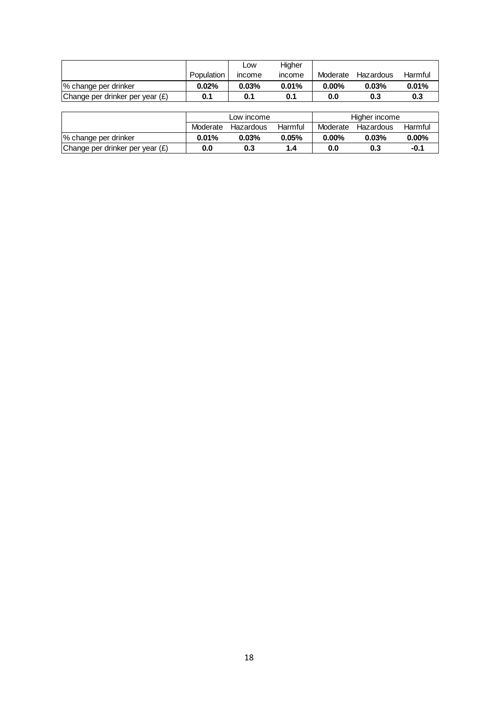|                                   |            | <b>LOW</b>    | Higher |          |           |         |
|-----------------------------------|------------|---------------|--------|----------|-----------|---------|
|                                   | Population | <b>Income</b> | income | Moderate | Hazardous | Harmful |
| % change per drinker              | 0.02%      | $0.03\%$      | 0.01%  | $0.00\%$ | 0.03%     | 0.01%   |
| Change per drinker per year $(E)$ | 0.1        | 0.1           |        | 0.0      | 0.3       | 0.3     |

|                                 | Population | income     | income  | Moderate | Hazardous     | Harmful  |
|---------------------------------|------------|------------|---------|----------|---------------|----------|
| % change per drinker            | 0.02%      | 0.03%      | 0.01%   | $0.00\%$ | 0.03%         | 0.01%    |
| Change per drinker per year (£) | 0.1        | 0.1        | 0.1     | 0.0      | 0.3           | 0.3      |
|                                 |            |            |         |          |               |          |
|                                 |            | Low income |         |          | Higher income |          |
|                                 | Moderate   | Hazardous  | Harmful | Moderate | Hazardous     | Harmful  |
| % change per drinker            | 0.01%      | 0.03%      | 0.05%   | $0.00\%$ | 0.03%         | $0.00\%$ |
| Change per drinker per year (£) | $0.0\,$    | 0.3        | $1.4$   | $0.0\,$  | 0.3           | $-0.1$   |
|                                 |            |            |         |          |               |          |
|                                 |            |            |         |          |               |          |
|                                 |            |            |         |          |               |          |
|                                 |            |            |         |          |               |          |
|                                 |            |            |         |          |               |          |
|                                 |            |            |         |          |               |          |
|                                 |            |            |         |          |               |          |
|                                 |            |            |         |          |               |          |
|                                 |            |            |         |          |               |          |
|                                 |            |            |         |          |               |          |
|                                 |            |            |         |          |               |          |
|                                 |            |            |         |          |               |          |
|                                 |            |            |         |          |               |          |
|                                 |            |            |         |          |               |          |
|                                 |            |            |         |          |               |          |
|                                 |            |            |         |          |               |          |
|                                 |            |            |         |          |               |          |
|                                 |            |            |         |          |               |          |
|                                 |            |            |         |          |               |          |
|                                 |            |            |         |          |               |          |
|                                 |            |            |         |          |               |          |
|                                 |            |            |         |          |               |          |
|                                 |            |            |         |          |               |          |
|                                 |            |            |         |          |               |          |
|                                 |            |            |         |          |               |          |
|                                 |            |            |         |          |               |          |
|                                 |            |            |         |          |               |          |
|                                 |            |            |         |          |               |          |
|                                 |            |            |         |          |               |          |
|                                 |            |            |         |          |               |          |
|                                 |            |            |         |          |               |          |
|                                 |            |            |         |          |               |          |
|                                 |            |            |         |          |               |          |
|                                 |            |            |         |          |               |          |
|                                 |            |            |         |          |               |          |
|                                 |            |            |         |          |               |          |
|                                 |            |            |         |          |               |          |
|                                 |            |            |         |          |               |          |
|                                 |            |            |         |          |               |          |
|                                 |            |            |         |          |               |          |
|                                 |            |            |         |          |               |          |
|                                 |            |            |         |          |               |          |
|                                 |            |            |         |          |               |          |
|                                 |            |            |         |          |               |          |
|                                 |            |            |         |          |               |          |
|                                 |            |            |         |          |               |          |
|                                 |            |            |         |          |               |          |
|                                 |            | 18         |         |          |               |          |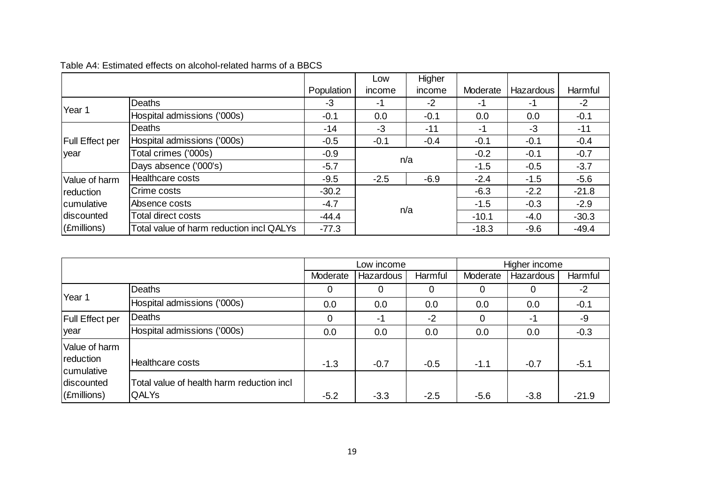|                        |                                          |            | Low    | Higher |          |           |         |
|------------------------|------------------------------------------|------------|--------|--------|----------|-----------|---------|
|                        |                                          | Population | income | income | Moderate | Hazardous | Harmful |
| Year 1                 | Deaths                                   | $-3$       | -1     | $-2$   | -1       | -1        | $-2$    |
|                        | Hospital admissions ('000s)              | $-0.1$     | 0.0    | $-0.1$ | 0.0      | 0.0       | $-0.1$  |
| <b>Full Effect per</b> | Deaths                                   | $-14$      | $-3$   | $-11$  | $-1$     | $-3$      | $-11$   |
|                        | Hospital admissions ('000s)              | $-0.5$     | $-0.1$ | $-0.4$ | $-0.1$   | $-0.1$    | $-0.4$  |
| year                   | Total crimes ('000s)                     | $-0.9$     | n/a    |        | $-0.2$   | $-0.1$    | $-0.7$  |
|                        | Days absence ('000's)                    | $-5.7$     |        |        | $-1.5$   | $-0.5$    | $-3.7$  |
| Value of harm          | Healthcare costs                         | $-9.5$     | $-2.5$ | $-6.9$ | $-2.4$   | $-1.5$    | $-5.6$  |
| reduction              | Crime costs                              | $-30.2$    | n/a    |        | $-6.3$   | $-2.2$    | $-21.8$ |
| cumulative             | Absence costs                            | $-4.7$     |        |        | $-1.5$   | $-0.3$    | $-2.9$  |
| Idiscounted            | Total direct costs                       | $-44.4$    |        |        | $-10.1$  | $-4.0$    | $-30.3$ |
| $ $ (£millions)        | Total value of harm reduction incl QALYs | $-77.3$    |        |        | $-18.3$  | $-9.6$    | $-49.4$ |

#### Table A4: Estimated effects on alcohol-related harms of a BBCS

|                                                                           |                                                           | Low income |                  |         | Higher income |                  |         |
|---------------------------------------------------------------------------|-----------------------------------------------------------|------------|------------------|---------|---------------|------------------|---------|
|                                                                           |                                                           | Moderate   | <b>Hazardous</b> | Harmful | Moderate      | <b>Hazardous</b> | Harmful |
| Year 1                                                                    | Deaths                                                    | 0          | 0                | 0       | 0             | 0                | -2      |
|                                                                           | Hospital admissions ('000s)                               | 0.0        | 0.0              | 0.0     | 0.0           | 0.0              | $-0.1$  |
| <b>Full Effect per</b><br>lyear                                           | Deaths                                                    | 0          | -1               | $-2$    | 0             | -1               | -9      |
|                                                                           | Hospital admissions ('000s)                               | 0.0        | 0.0              | 0.0     | 0.0           | 0.0              | $-0.3$  |
| Value of harm<br>reduction<br>cumulative<br>discounted<br>$ $ (£millions) |                                                           |            |                  |         |               |                  |         |
|                                                                           | Healthcare costs                                          | $-1.3$     | $-0.7$           | $-0.5$  | $-1.1$        | $-0.7$           | $-5.1$  |
|                                                                           | Total value of health harm reduction incl<br><b>QALYs</b> | $-5.2$     | $-3.3$           | $-2.5$  | $-5.6$        | $-3.8$           | $-21.9$ |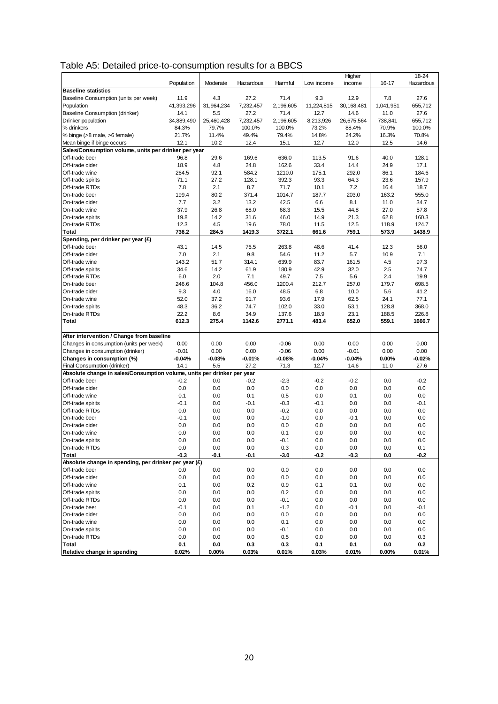|                                                                         |            |            |           |           |            | Higher     |           | 18-24     |
|-------------------------------------------------------------------------|------------|------------|-----------|-----------|------------|------------|-----------|-----------|
|                                                                         | Population | Moderate   | Hazardous | Harmful   | Low income | income     | 16-17     | Hazardous |
| <b>Baseline statistics</b>                                              |            |            |           |           |            |            |           |           |
| Baseline Consumption (units per week)                                   | 11.9       | 4.3        | 27.2      | 71.4      | 9.3        | 12.9       | 7.8       | 27.6      |
| Population                                                              | 41,393,296 | 31,964,234 | 7,232,457 | 2,196,605 | 11,224,815 | 30,168,481 | 1,041,951 | 655,712   |
| Baseline Consumption (drinker)                                          | 14.1       | 5.5        | 27.2      | 71.4      | 12.7       | 14.6       | 11.0      | 27.6      |
| Drinker population                                                      | 34,889,490 | 25,460,428 | 7,232,457 | 2,196,605 | 8,213,926  | 26,675,564 | 738,841   | 655,712   |
| % drinkers                                                              | 84.3%      | 79.7%      | 100.0%    | 100.0%    | 73.2%      | 88.4%      | 70.9%     | 100.0%    |
| % binge $(>8$ male, $>6$ female)                                        | 21.7%      | 11.4%      | 49.4%     | 79.4%     | 14.8%      | 24.2%      | 16.3%     | 70.8%     |
| Mean binge if binge occurs                                              | 12.1       | 10.2       | 12.4      | 15.1      | 12.7       | 12.0       | 12.5      | 14.6      |
| Sales/Consumption volume, units per drinker per year                    |            |            |           |           |            |            |           |           |
| Off-trade beer                                                          | 96.8       | 29.6       | 169.6     | 636.0     | 113.5      | 91.6       | 40.0      | 128.1     |
| Off-trade cider                                                         | 18.9       | 4.8        | 24.8      | 162.6     | 33.4       | 14.4       | 24.9      | 17.1      |
| Off-trade wine                                                          | 264.5      | 92.1       | 584.2     | 1210.0    | 175.1      | 292.0      | 86.1      | 184.6     |
| Off-trade spirits                                                       | 71.1       | 27.2       | 128.1     | 392.3     | 93.3       | 64.3       | 23.6      | 157.9     |
| Off-trade RTDs                                                          | 7.8        | 2.1        | 8.7       | 71.7      | 10.1       | 7.2        | 16.4      | 18.7      |
| On-trade beer                                                           | 199.4      | 80.2       | 371.4     | 1014.7    | 187.7      | 203.0      | 163.2     | 555.0     |
| On-trade cider                                                          | 7.7        | 3.2        | 13.2      | 42.5      | 6.6        | 8.1        | 11.0      | 34.7      |
| On-trade wine                                                           | 37.9       | 26.8       | 68.0      | 68.3      | 15.5       | 44.8       | 27.0      | 57.8      |
| On-trade spirits                                                        | 19.8       | 14.2       | 31.6      | 46.0      | 14.9       | 21.3       | 62.8      | 160.3     |
| On-trade RTDs                                                           | 12.3       | 4.5        | 19.6      | 78.0      | 11.5       | 12.5       | 118.9     | 124.7     |
| Total                                                                   | 736.2      | 284.5      | 1419.3    | 3722.1    | 661.6      | 759.1      | 573.9     | 1438.9    |
| Spending, per drinker per year (£)                                      |            |            |           |           |            |            |           |           |
| Off-trade beer                                                          | 43.1       | 14.5       | 76.5      | 263.8     | 48.6       | 41.4       | 12.3      | 56.0      |
| Off-trade cider                                                         | 7.0        | 2.1        | 9.8       | 54.6      | 11.2       | 5.7        | 10.9      | 7.1       |
| Off-trade wine                                                          | 143.2      | 51.7       | 314.1     | 639.9     | 83.7       | 161.5      | 4.5       | 97.3      |
| Off-trade spirits                                                       | 34.6       | 14.2       | 61.9      | 180.9     | 42.9       | 32.0       | 2.5       | 74.7      |
| Off-trade RTDs                                                          | 6.0        | 2.0        | 7.1       | 49.7      | 7.5        | 5.6        | 2.4       | 19.9      |
| On-trade beer                                                           | 246.6      | 104.8      | 456.0     | 1200.4    | 212.7      | 257.0      | 179.7     | 698.5     |
| On-trade cider                                                          | 9.3        | 4.0        | 16.0      | 48.5      | 6.8        | 10.0       | 5.6       | 41.2      |
| On-trade wine                                                           | 52.0       | 37.2       | 91.7      | 93.6      | 17.9       | 62.5       | 24.1      | 77.1      |
| On-trade spirits                                                        | 48.3       | 36.2       | 74.7      | 102.0     | 33.0       | 53.1       | 128.8     | 368.0     |
| On-trade RTDs                                                           | 22.2       | 8.6        | 34.9      | 137.6     | 18.9       | 23.1       | 188.5     | 226.8     |
|                                                                         | 612.3      | 275.4      | 1142.6    |           | 483.4      | 652.0      | 559.1     | 1666.7    |
| Total                                                                   |            |            |           | 2771.1    |            |            |           |           |
| After intervention / Change from baseline                               |            |            |           |           |            |            |           |           |
|                                                                         | 0.00       | 0.00       | 0.00      | $-0.06$   | 0.00       | 0.00       | 0.00      | 0.00      |
| Changes in consumption (units per week)                                 | $-0.01$    | 0.00       | 0.00      | $-0.06$   | 0.00       | $-0.01$    | 0.00      | 0.00      |
| Changes in consumption (drinker)                                        | $-0.04%$   | $-0.03%$   | $-0.01%$  | $-0.08%$  | $-0.04%$   | $-0.04%$   | 0.00%     | $-0.02%$  |
| Changes in consumption (%)                                              |            |            |           |           |            |            |           |           |
| Final Consumption (drinker)                                             | 14.1       | 5.5        | 27.2      | 71.3      | 12.7       | 14.6       | 11.0      | 27.6      |
| Absolute change in sales/Consumption volume, units per drinker per year |            |            |           |           |            |            |           |           |
| Off-trade beer                                                          | $-0.2$     | 0.0        | $-0.2$    | $-2.3$    | $-0.2$     | $-0.2$     | 0.0       | $-0.2$    |
| Off-trade cider                                                         | 0.0        | 0.0        | 0.0       | 0.0       | 0.0        | 0.0        | 0.0       | 0.0       |
| Off-trade wine                                                          | 0.1        | 0.0        | 0.1       | 0.5       | 0.0        | 0.1        | 0.0       | 0.0       |
| Off-trade spirits                                                       | $-0.1$     | 0.0        | $-0.1$    | $-0.3$    | $-0.1$     | 0.0        | 0.0       | $-0.1$    |
| Off-trade RTDs                                                          | 0.0        | 0.0        | 0.0       | $-0.2$    | 0.0        | 0.0        | 0.0       | 0.0       |
| On-trade beer                                                           | $-0.1$     | 0.0        | 0.0       | $-1.0$    | 0.0        | $-0.1$     | 0.0       | 0.0       |
| On-trade cider                                                          | 0.0        | 0.0        | 0.0       | 0.0       | 0.0        | 0.0        | 0.0       | 0.0       |
| On-trade wine                                                           | 0.0        | 0.0        | 0.0       | 0.1       | 0.0        | 0.0        | 0.0       | 0.0       |
| On-trade spirits                                                        | 0.0        | 0.0        | 0.0       | $-0.1$    | 0.0        | 0.0        | 0.0       | 0.0       |
| On-trade RTDs                                                           | 0.0        | 0.0        | 0.0       | 0.3       | 0.0        | 0.0        | 0.0       | 0.1       |
| Total                                                                   | $-0.3$     | $-0.1$     | $-0.1$    | $-3.0$    | -0.2       | -0.3       | 0.0       | -0.2      |
| Absolute change in spending, per drinker per year (£)                   |            |            |           |           |            |            |           |           |
| Off-trade beer                                                          | 0.0        | 0.0        | 0.0       | 0.0       | 0.0        | 0.0        | 0.0       | 0.0       |
| Off-trade cider                                                         | 0.0        | 0.0        | 0.0       | 0.0       | 0.0        | 0.0        | 0.0       | 0.0       |
| Off-trade wine                                                          | 0.1        | 0.0        | 0.2       | 0.9       | 0.1        | 0.1        | 0.0       | 0.0       |
| Off-trade spirits                                                       | 0.0        | 0.0        | 0.0       | 0.2       | 0.0        | 0.0        | 0.0       | 0.0       |
| Off-trade RTDs                                                          | 0.0        | 0.0        | 0.0       | $-0.1$    | 0.0        | 0.0        | 0.0       | 0.0       |
| On-trade beer                                                           | $-0.1$     | 0.0        | 0.1       | $-1.2$    | 0.0        | $-0.1$     | 0.0       | $-0.1$    |
| On-trade cider                                                          | 0.0        | 0.0        | 0.0       | 0.0       | 0.0        | 0.0        | 0.0       | 0.0       |
| On-trade wine                                                           | 0.0        | 0.0        | 0.0       | 0.1       | 0.0        | 0.0        | 0.0       | 0.0       |
| On-trade spirits                                                        | 0.0        | 0.0        | 0.0       | $-0.1$    | 0.0        | 0.0        | 0.0       | 0.0       |
| On-trade RTDs                                                           | 0.0        | 0.0        | 0.0       | 0.5       | 0.0        | 0.0        | 0.0       | 0.3       |
| <b>Total</b>                                                            | 0.1        | 0.0        | 0.3       | 0.3       | 0.1        | 0.1        | 0.0       | 0.2       |
| Relative change in spending                                             | 0.02%      | $0.00\%$   | $0.03\%$  | 0.01%     | 0.03%      | 0.01%      | $0.00\%$  | 0.01%     |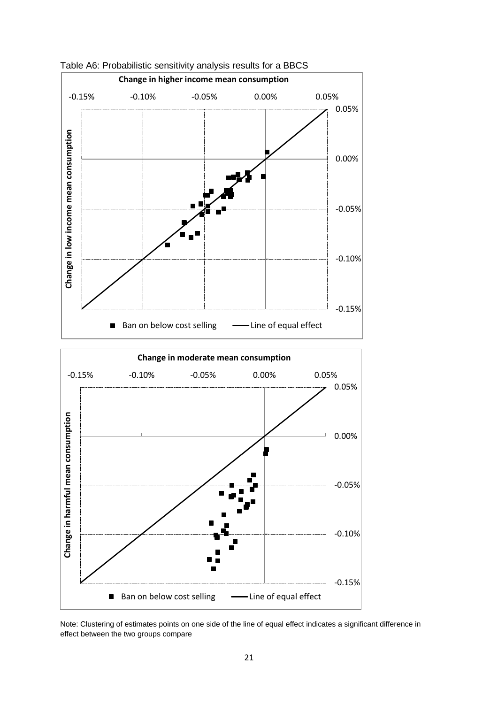

Table A6: Probabilistic sensitivity analysis results for a BBCS

Note: Clustering of estimates points on one side of the line of equal effect indicates a significant difference in effect between the two groups compare